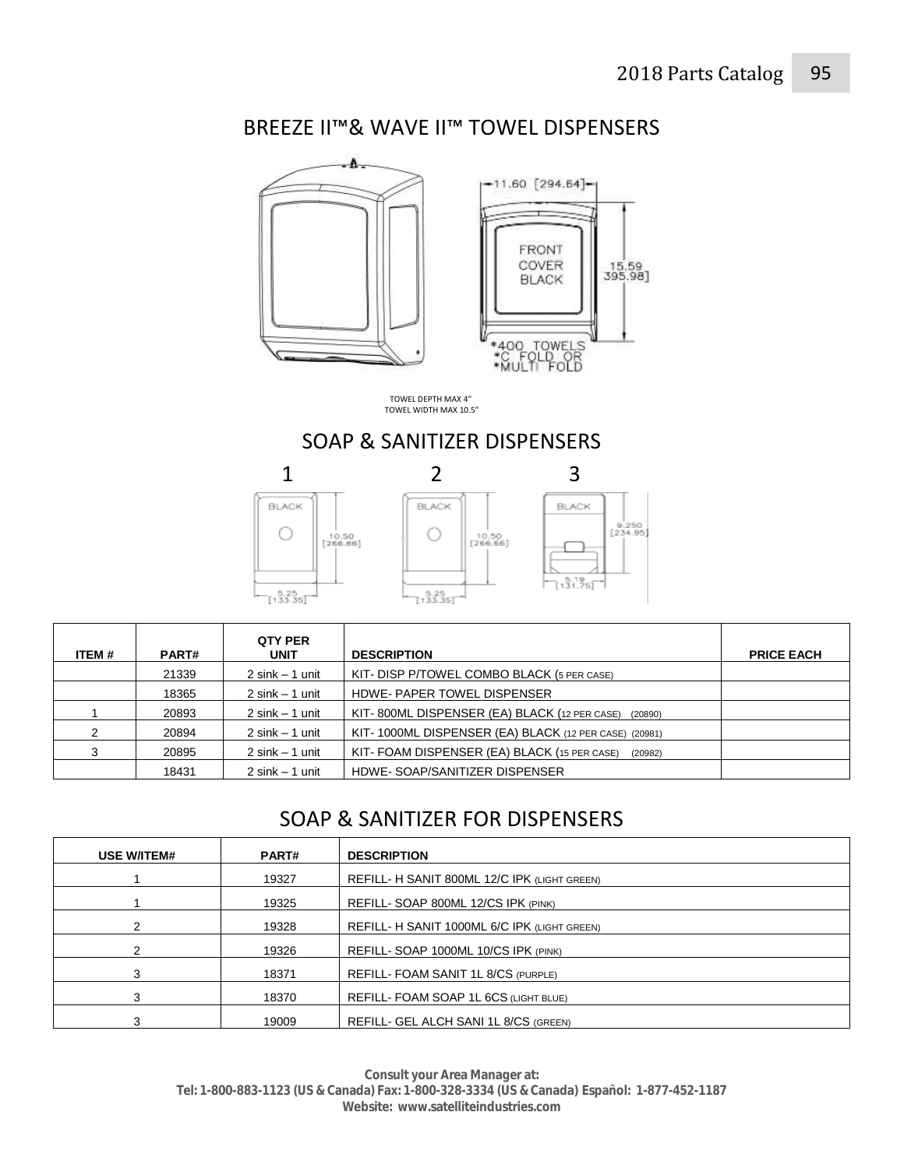### BREEZE II™& WAVE II™ TOWEL DISPENSERS



TOWEL DEPTH MAX 4" TOWEL WIDTH MAX 10.5"

### SOAP & SANITIZER DISPENSERS



| ITEM # | <b>PART#</b> | <b>QTY PER</b><br><b>UNIT</b> | <b>DESCRIPTION</b>                                      | <b>PRICE EACH</b> |
|--------|--------------|-------------------------------|---------------------------------------------------------|-------------------|
|        | 21339        | $2 \sin k - 1$ unit           | KIT- DISP P/TOWEL COMBO BLACK (5 PER CASE)              |                   |
|        | 18365        | $2 \sin k - 1$ unit           | HDWE-PAPER TOWEL DISPENSER                              |                   |
|        | 20893        | $2 \sin k - 1$ unit           | KIT-800ML DISPENSER (EA) BLACK (12 PER CASE)<br>(20890) |                   |
|        | 20894        | $2 \sin k - 1$ unit           | KIT-1000ML DISPENSER (EA) BLACK (12 PER CASE) (20981)   |                   |
| 3      | 20895        | $2 \sin k - 1$ unit           | KIT-FOAM DISPENSER (EA) BLACK (15 PER CASE)<br>(20982)  |                   |
|        | 18431        | $2 \sin k - 1$ unit           | HDWE-SOAP/SANITIZER DISPENSER                           |                   |

# SOAP & SANITIZER FOR DISPENSERS

| <b>USE W/ITEM#</b> | <b>PART#</b> | <b>DESCRIPTION</b>                           |
|--------------------|--------------|----------------------------------------------|
|                    | 19327        | REFILL- H SANIT 800ML 12/C IPK (LIGHT GREEN) |
|                    | 19325        | REFILL- SOAP 800ML 12/CS IPK (PINK)          |
|                    | 19328        | REFILL- H SANIT 1000ML 6/C IPK (LIGHT GREEN) |
|                    | 19326        | REFILL- SOAP 1000ML 10/CS IPK (PINK)         |
|                    | 18371        | REFILL- FOAM SANIT 1L 8/CS (PURPLE)          |
|                    | 18370        | REFILL- FOAM SOAP 1L 6CS (LIGHT BLUE)        |
|                    | 19009        | REFILL- GEL ALCH SANI 1L 8/CS (GREEN)        |

**Consult your Area Manager at: Tel: 1-800-883-1123 (US & Canada) Fax: 1-800-328-3334 (US & Canada) Español: 1-877-452-1187 Website: www.satelliteindustries.com**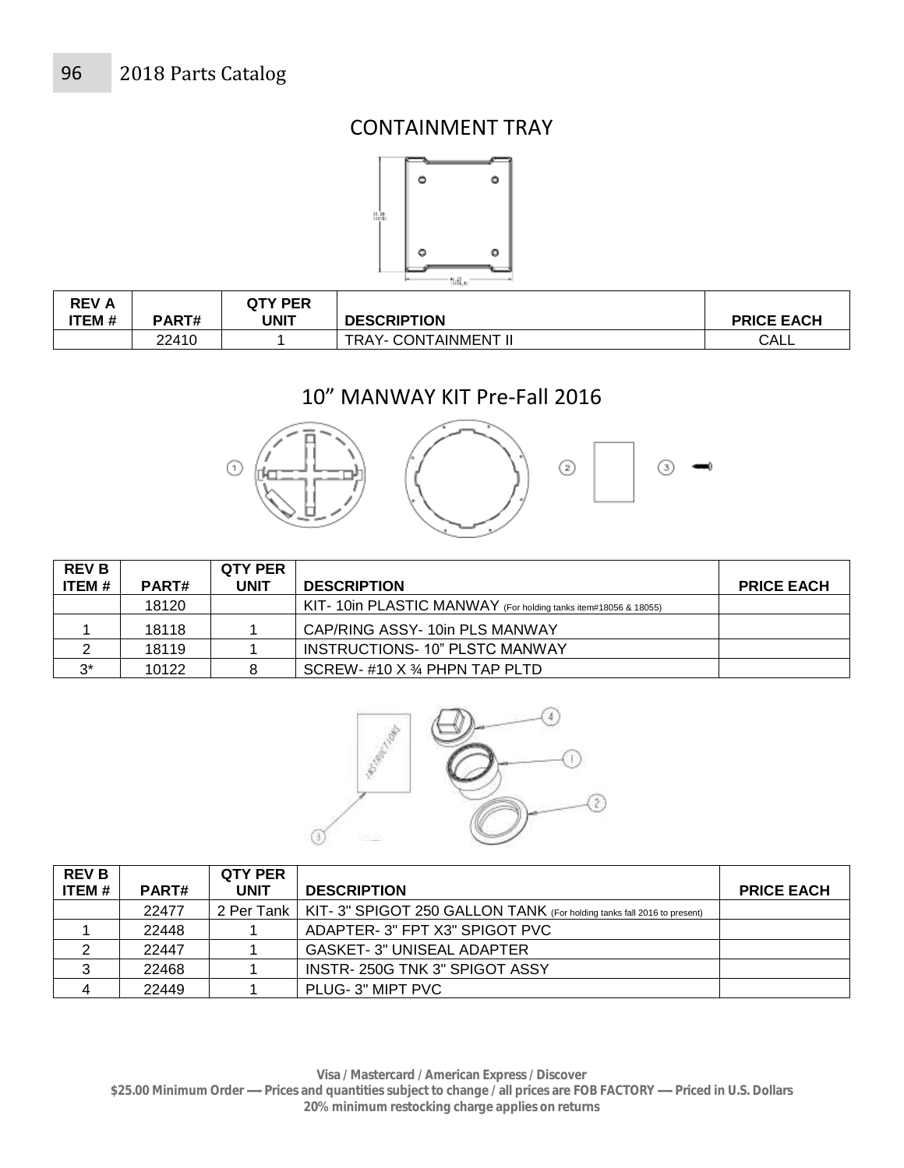### CONTAINMENT TRAY



| <b>REV A</b><br>ITEM # | <b>PART#</b> | QTY PER<br>UNIT | <b>DESCRIPTION</b>          | <b>PRICE EACH</b> |
|------------------------|--------------|-----------------|-----------------------------|-------------------|
|                        | 22410        |                 | <b>TRAY- CONTAINMENT II</b> | CALL              |

# 10" MANWAY KIT Pre-Fall 2016



| <b>REV B</b> |       | <b>QTY PER</b> |                                                                 |                   |
|--------------|-------|----------------|-----------------------------------------------------------------|-------------------|
| ITEM #       | PART# | UNIT           | <b>DESCRIPTION</b>                                              | <b>PRICE EACH</b> |
|              | 18120 |                | KIT- 10in PLASTIC MANWAY (For holding tanks item#18056 & 18055) |                   |
|              | 18118 |                | CAP/RING ASSY-10in PLS MANWAY                                   |                   |
|              | 18119 |                | INSTRUCTIONS-10" PLSTC MANWAY                                   |                   |
| $2*$         | 10122 | 8              | SCREW- $#10$ X $%$ PHPN TAP PLTD                                |                   |



| <b>REV B</b>   |       | <b>QTY PER</b> |                                                                                      |                   |
|----------------|-------|----------------|--------------------------------------------------------------------------------------|-------------------|
| ITEM #         | PART# | <b>UNIT</b>    | <b>DESCRIPTION</b>                                                                   | <b>PRICE EACH</b> |
|                | 22477 |                | 2 Per Tank   KIT- 3" SPIGOT 250 GALLON TANK (For holding tanks fall 2016 to present) |                   |
|                | 22448 |                | ADAPTER-3" FPT X3" SPIGOT PVC                                                        |                   |
|                | 22447 |                | <b>GASKET-3" UNISEAL ADAPTER</b>                                                     |                   |
| 3              | 22468 |                | INSTR-250G TNK 3" SPIGOT ASSY                                                        |                   |
| $\overline{4}$ | 22449 |                | PLUG-3" MIPT PVC                                                                     |                   |

**Visa / Mastercard / American Express / Discover** 

**\$25.00 Minimum Order ----- Prices and quantities subject to change / all prices are FOB FACTORY ----- Priced in U.S. Dollars 20% minimum restocking charge applies on returns**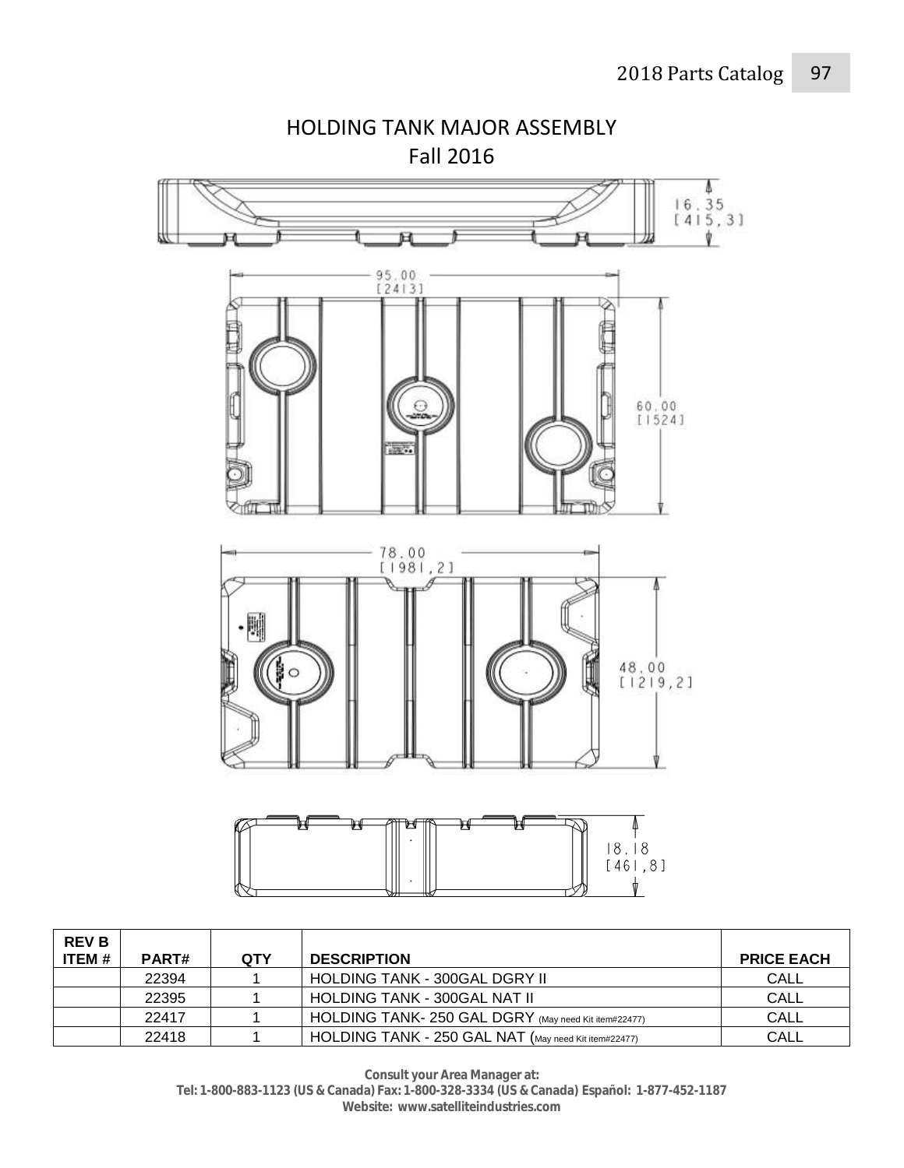

**REV B ITEM # PART# QTY DESCRIPTION PRICE EACH** 22394 | 1 | HOLDING TANK - 300GAL DGRY II | CALL 22395 | 1 | HOLDING TANK - 300GAL NAT II | CALL 22417 | 1 | HOLDING TANK- 250 GAL DGRY (May need Kit item#22477) CALL 22418 1 HOLDING TANK - 250 GAL NAT (May need Kit item#22477) CALL

> **Consult your Area Manager at: Tel: 1-800-883-1123 (US & Canada) Fax: 1-800-328-3334 (US & Canada) Español: 1-877-452-1187 Website: www.satelliteindustries.com**

HOLDING TANK MAJOR ASSEMBLY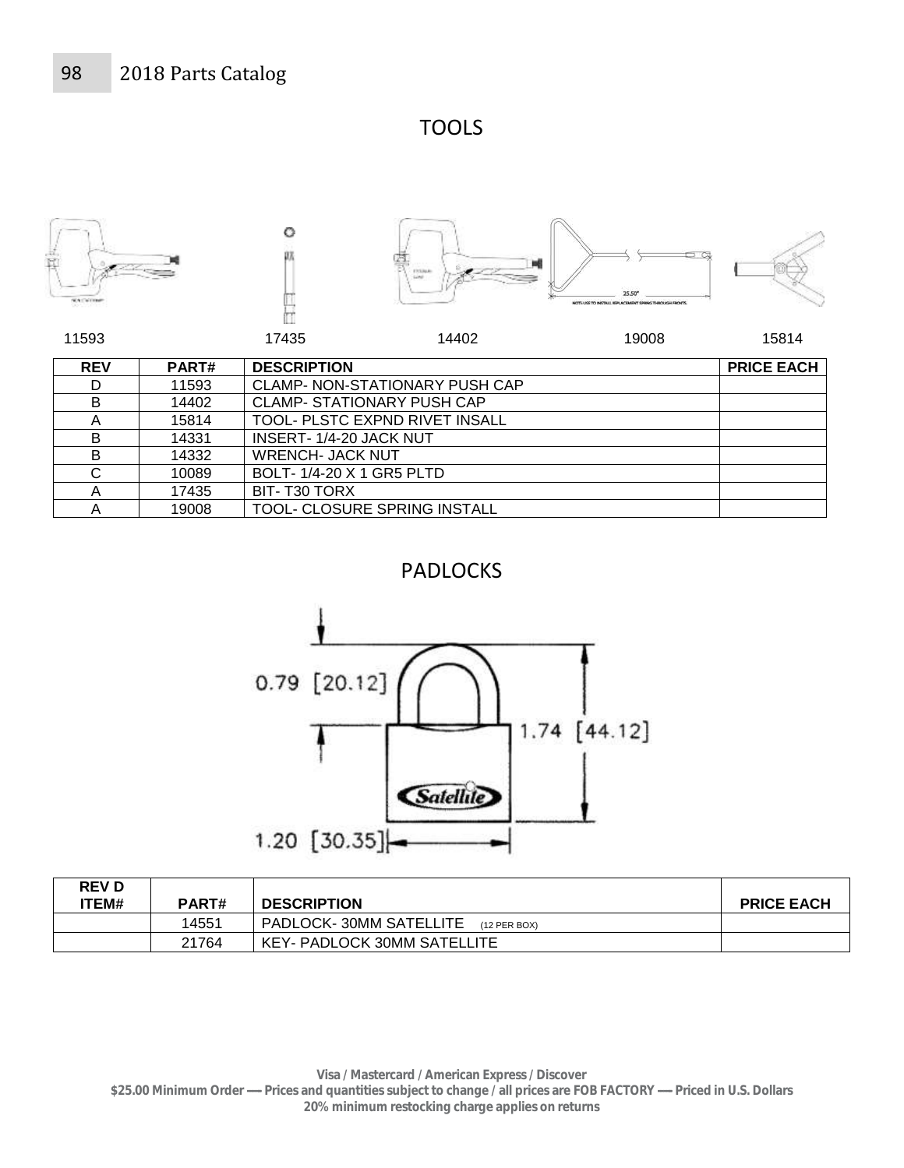TOOLS



| <b>REV</b> | PART# | <b>DESCRIPTION</b>                |                                       | <b>PRICE EACH</b> |
|------------|-------|-----------------------------------|---------------------------------------|-------------------|
| D          | 11593 |                                   | <b>CLAMP- NON-STATIONARY PUSH CAP</b> |                   |
| B          | 14402 | <b>CLAMP- STATIONARY PUSH CAP</b> |                                       |                   |
| Α          | 15814 |                                   | TOOL- PLSTC EXPND RIVET INSALL        |                   |
| B          | 14331 | INSERT-1/4-20 JACK NUT            |                                       |                   |
| B          | 14332 | <b>WRENCH- JACK NUT</b>           |                                       |                   |
| С          | 10089 | BOLT-1/4-20 X 1 GR5 PLTD          |                                       |                   |
| A          | 17435 | BIT-T30 TORX                      |                                       |                   |
| Α          | 19008 | TOOL- CLOSURE SPRING INSTALL      |                                       |                   |

## PADLOCKS



| <b>REV D</b> |       |                                        |                   |
|--------------|-------|----------------------------------------|-------------------|
| 'TEM#        | PART# | <b>DESCRIPTION</b>                     | <b>PRICE EACH</b> |
|              | 14551 | PADLOCK-30MM SATELLITE<br>(12 PER BOX) |                   |
|              | 21764 | <b>KEY- PADLOCK 30MM SATELLITE</b>     |                   |

**Visa / Mastercard / American Express / Discover \$25.00 Minimum Order ----- Prices and quantities subject to change / all prices are FOB FACTORY ----- Priced in U.S. Dollars 20% minimum restocking charge applies on returns**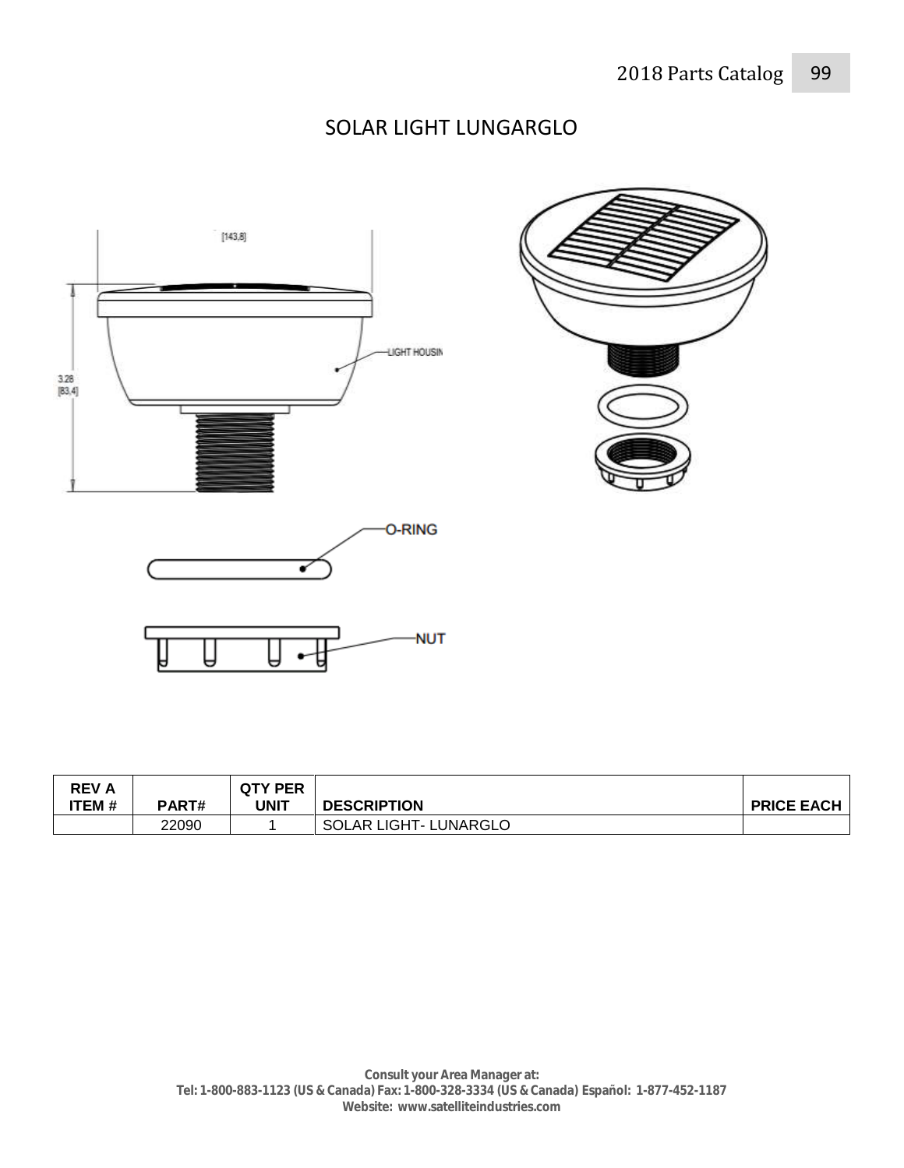# SOLAR LIGHT LUNGARGLO



| <b>REVA</b><br>ITEM # | PART# | <b>QTY PER</b><br>UNIT | <b>DESCRIPTION</b>           | <b>PRICE EACH</b> |
|-----------------------|-------|------------------------|------------------------------|-------------------|
|                       | 22090 |                        | <b>SOLAR LIGHT- LUNARGLO</b> |                   |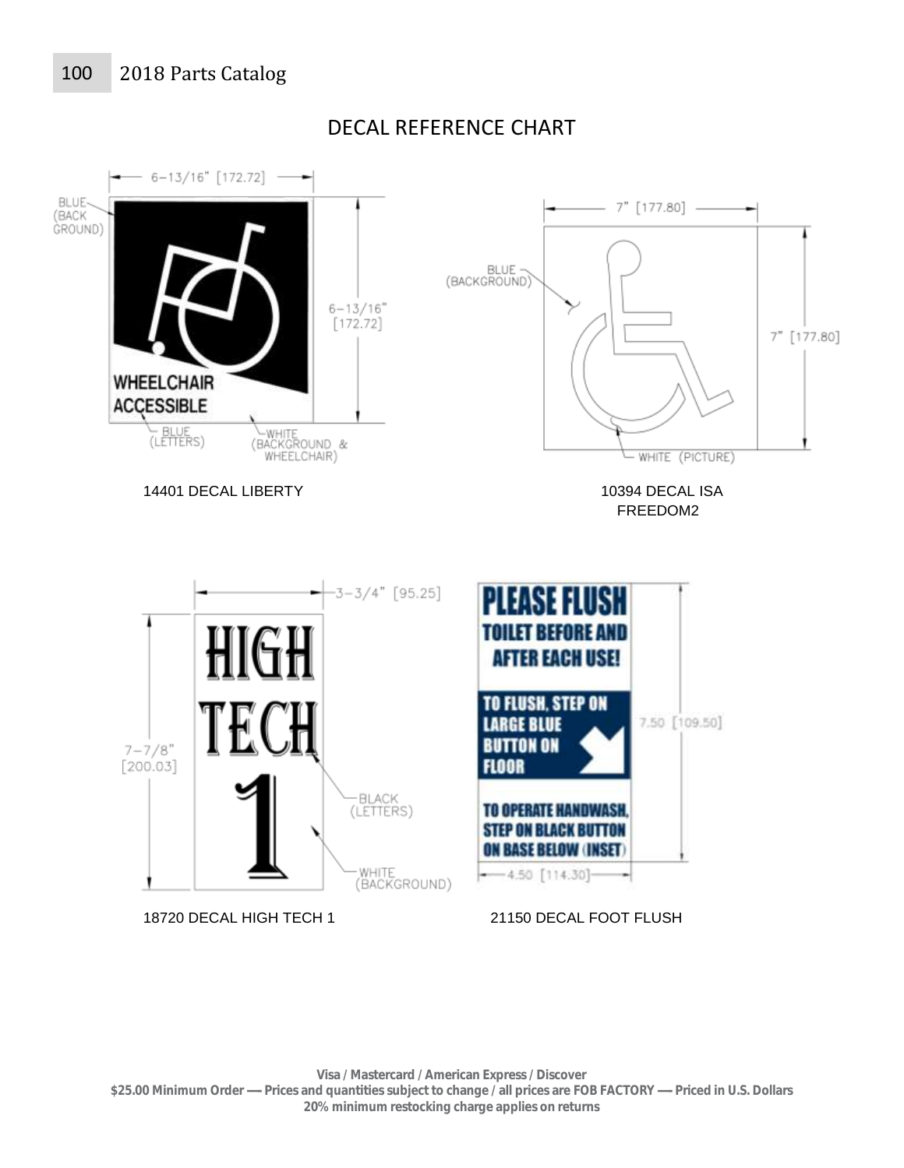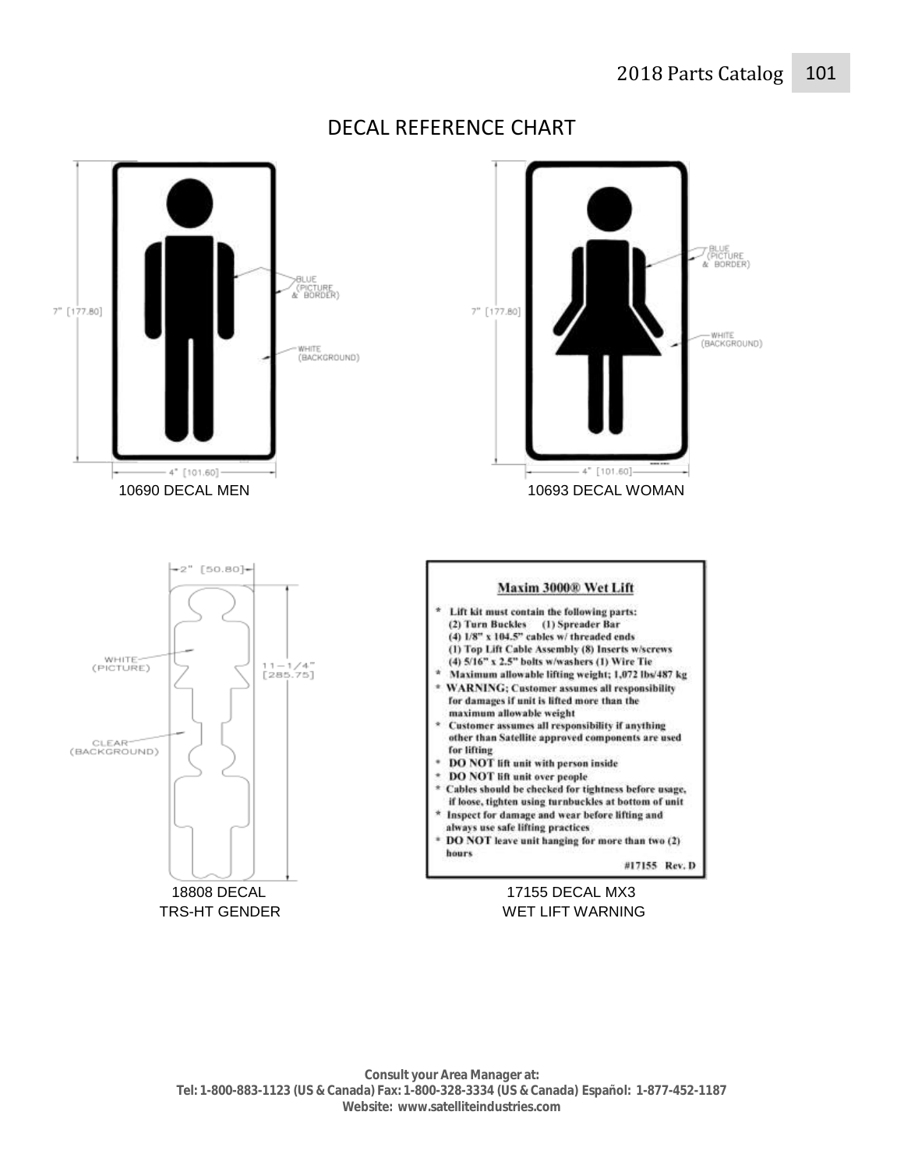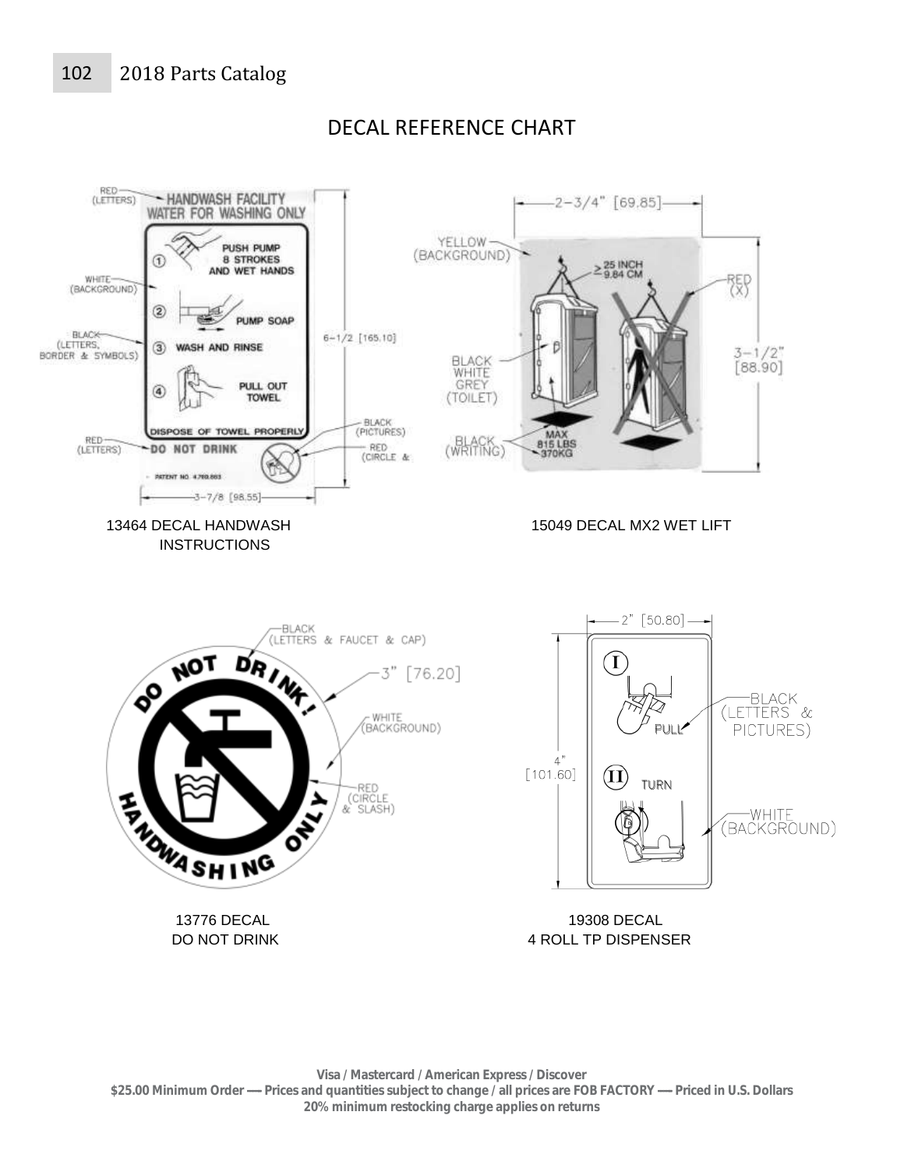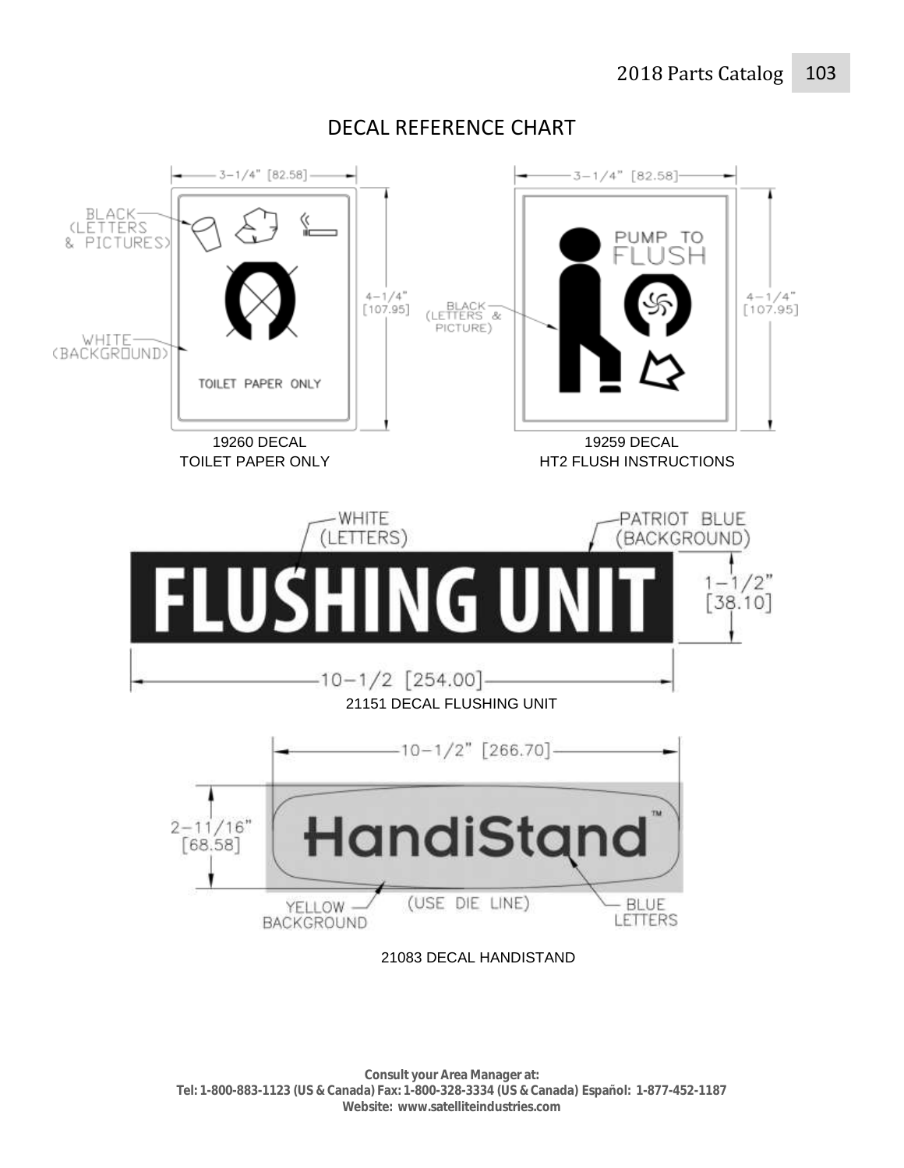